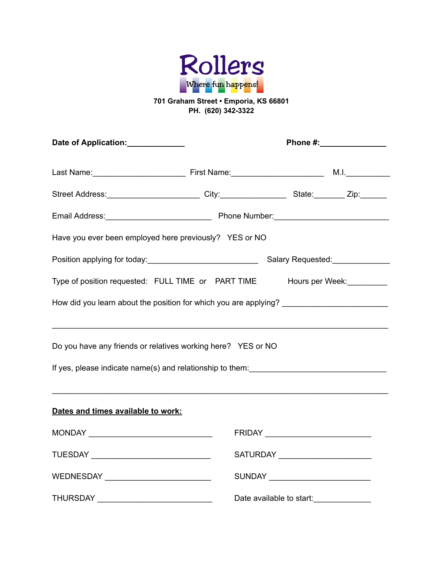

# **701 Graham Street • Emporia, KS 66801 PH. (620) 342-3322**

| Date of Application: _____________                                                                                                                                                                                                                                                                                                                                      |                          | Phone #:________________         |                                     |  |  |
|-------------------------------------------------------------------------------------------------------------------------------------------------------------------------------------------------------------------------------------------------------------------------------------------------------------------------------------------------------------------------|--------------------------|----------------------------------|-------------------------------------|--|--|
|                                                                                                                                                                                                                                                                                                                                                                         |                          |                                  |                                     |  |  |
| Street Address: ________________________City:___________________State:_________Zip:_______                                                                                                                                                                                                                                                                              |                          |                                  |                                     |  |  |
|                                                                                                                                                                                                                                                                                                                                                                         |                          |                                  |                                     |  |  |
| Have you ever been employed here previously? YES or NO                                                                                                                                                                                                                                                                                                                  |                          |                                  |                                     |  |  |
|                                                                                                                                                                                                                                                                                                                                                                         |                          |                                  | Salary Requested: Salary Requested: |  |  |
| Type of position requested: FULL TIME or PART TIME Hours per Week:                                                                                                                                                                                                                                                                                                      |                          |                                  |                                     |  |  |
| How did you learn about the position for which you are applying? __________________________________                                                                                                                                                                                                                                                                     |                          |                                  |                                     |  |  |
| <u> 1989 - Johann Stoff, amerikansk politiker (d. 1989)</u>                                                                                                                                                                                                                                                                                                             |                          |                                  |                                     |  |  |
| Do you have any friends or relatives working here? YES or NO                                                                                                                                                                                                                                                                                                            |                          |                                  |                                     |  |  |
|                                                                                                                                                                                                                                                                                                                                                                         |                          |                                  |                                     |  |  |
| ,我们也不会有什么。""我们的人,我们也不会有什么?""我们的人,我们也不会有什么?""我们的人,我们也不会有什么?""我们的人,我们也不会有什么?""我们的人                                                                                                                                                                                                                                                                                        |                          |                                  |                                     |  |  |
| Dates and times available to work:                                                                                                                                                                                                                                                                                                                                      |                          |                                  |                                     |  |  |
| $\begin{picture}(180,10) \put(0,0){\dashbox{0.5}(10,0){ }} \put(10,0){\dashbox{0.5}(10,0){ }} \put(10,0){\dashbox{0.5}(10,0){ }} \put(10,0){\dashbox{0.5}(10,0){ }} \put(10,0){\dashbox{0.5}(10,0){ }} \put(10,0){\dashbox{0.5}(10,0){ }} \put(10,0){\dashbox{0.5}(10,0){ }} \put(10,0){\dashbox{0.5}(10,0){ }} \put(10,0){\dashbox{0.5}(10,0){ }} \put(10,0){\dashbox$ |                          |                                  |                                     |  |  |
|                                                                                                                                                                                                                                                                                                                                                                         |                          | SATURDAY ______________________  |                                     |  |  |
| WEDNESDAY __________________________                                                                                                                                                                                                                                                                                                                                    |                          | SUNDAY _________________________ |                                     |  |  |
| <b>THURSDAY</b>                                                                                                                                                                                                                                                                                                                                                         | Date available to start: |                                  |                                     |  |  |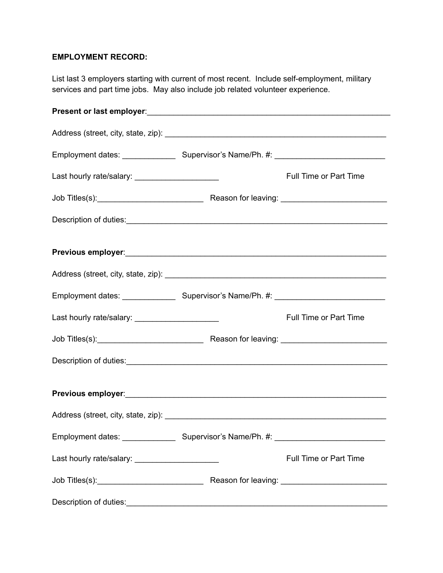## **EMPLOYMENT RECORD:**

List last 3 employers starting with current of most recent. Include self-employment, military services and part time jobs. May also include job related volunteer experience.

| Last hourly rate/salary: _____________________  | Full Time or Part Time        |
|-------------------------------------------------|-------------------------------|
|                                                 |                               |
|                                                 |                               |
|                                                 |                               |
|                                                 |                               |
|                                                 |                               |
| Last hourly rate/salary: ______________________ | <b>Full Time or Part Time</b> |
|                                                 |                               |
|                                                 |                               |
|                                                 |                               |
|                                                 |                               |
|                                                 |                               |
| Last hourly rate/salary: ______________________ | <b>Full Time or Part Time</b> |
|                                                 |                               |
| Description of duties:                          |                               |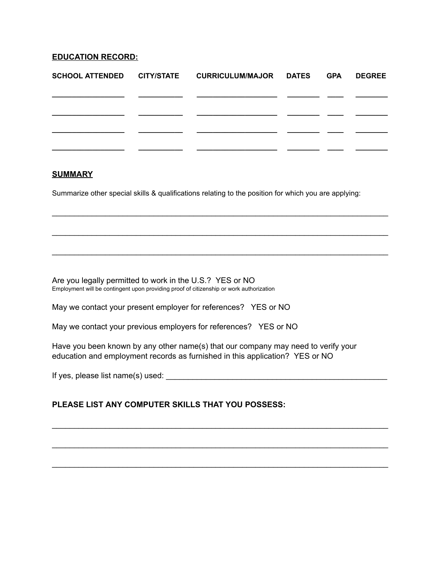### **EDUCATION RECORD:**

|  | SCHOOL ATTENDED   CITY/STATE   CURRICULUM/MAJOR   DATES | GPA | <b>DEGREE</b> |
|--|---------------------------------------------------------|-----|---------------|
|  |                                                         |     |               |
|  |                                                         |     |               |
|  |                                                         |     |               |
|  |                                                         |     |               |

#### **SUMMARY**

Summarize other special skills & qualifications relating to the position for which you are applying:

 $\mathcal{L}_\text{max}$  and  $\mathcal{L}_\text{max}$  and  $\mathcal{L}_\text{max}$  and  $\mathcal{L}_\text{max}$  and  $\mathcal{L}_\text{max}$  and  $\mathcal{L}_\text{max}$ 

 $\mathcal{L}_\text{max}$  and  $\mathcal{L}_\text{max}$  and  $\mathcal{L}_\text{max}$  and  $\mathcal{L}_\text{max}$  and  $\mathcal{L}_\text{max}$  and  $\mathcal{L}_\text{max}$ 

 $\mathcal{L}_\text{max}$  and  $\mathcal{L}_\text{max}$  and  $\mathcal{L}_\text{max}$  and  $\mathcal{L}_\text{max}$  and  $\mathcal{L}_\text{max}$  and  $\mathcal{L}_\text{max}$ 

Are you legally permitted to work in the U.S.? YES or NO Employment will be contingent upon providing proof of citizenship or work authorization

May we contact your present employer for references? YES or NO

May we contact your previous employers for references? YES or NO

Have you been known by any other name(s) that our company may need to verify your education and employment records as furnished in this application? YES or NO

 $\mathcal{L}_\text{max}$  and  $\mathcal{L}_\text{max}$  and  $\mathcal{L}_\text{max}$  and  $\mathcal{L}_\text{max}$  and  $\mathcal{L}_\text{max}$  and  $\mathcal{L}_\text{max}$ 

 $\mathcal{L}_\text{max}$  and  $\mathcal{L}_\text{max}$  and  $\mathcal{L}_\text{max}$  and  $\mathcal{L}_\text{max}$  and  $\mathcal{L}_\text{max}$  and  $\mathcal{L}_\text{max}$ 

 $\mathcal{L}_\text{max}$  and  $\mathcal{L}_\text{max}$  and  $\mathcal{L}_\text{max}$  and  $\mathcal{L}_\text{max}$  and  $\mathcal{L}_\text{max}$  and  $\mathcal{L}_\text{max}$ 

If yes, please list name(s) used: \_\_\_\_\_\_\_\_\_\_\_\_\_\_\_\_\_\_\_\_\_\_\_\_\_\_\_\_\_\_\_\_\_\_\_\_\_\_\_\_\_\_\_\_\_\_\_\_\_\_

### **PLEASE LIST ANY COMPUTER SKILLS THAT YOU POSSESS:**